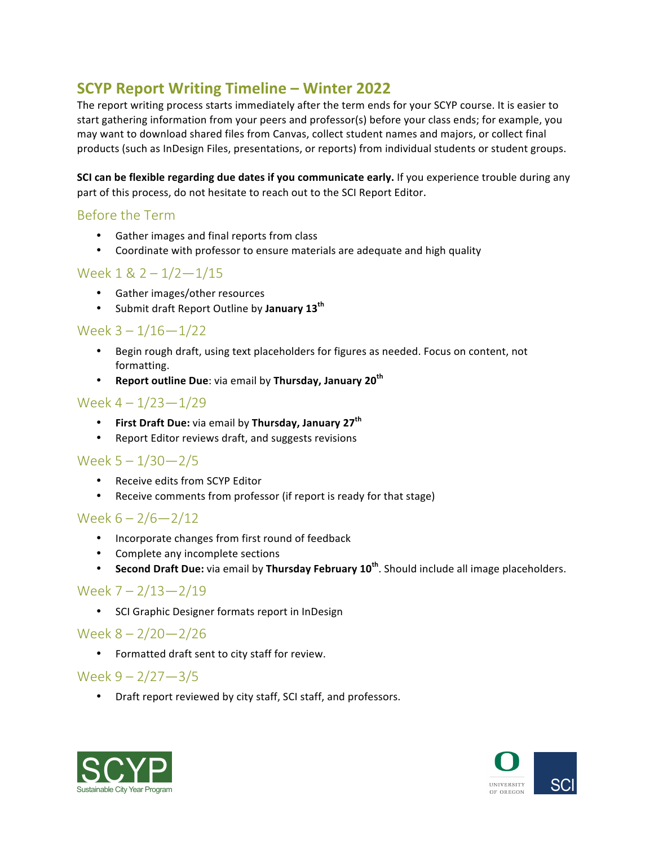## **SCYP Report Writing Timeline – Winter 2022**

The report writing process starts immediately after the term ends for your SCYP course. It is easier to start gathering information from your peers and professor(s) before your class ends; for example, you may want to download shared files from Canvas, collect student names and majors, or collect final products (such as InDesign Files, presentations, or reports) from individual students or student groups.

**SCI** can be flexible regarding due dates if you communicate early. If you experience trouble during any part of this process, do not hesitate to reach out to the SCI Report Editor.

#### Before the Term

- Gather images and final reports from class
- Coordinate with professor to ensure materials are adequate and high quality

## Week  $1 \& 2 - \frac{1}{2} - \frac{1}{15}$

- Gather images/other resources
- Submit draft Report Outline by **January 13th**

## Week  $3 - 1/16 - 1/22$

- Begin rough draft, using text placeholders for figures as needed. Focus on content, not formatting.
- **•** Report outline Due: via email by Thursday, January 20<sup>th</sup>

## Week  $4 - 1/23 - 1/29$

- **•** First Draft Due: via email by Thursday, January 27<sup>th</sup>
- Report Editor reviews draft, and suggests revisions

### Week  $5 - 1/30 - 2/5$

- Receive edits from SCYP Editor
- Receive comments from professor (if report is ready for that stage)

#### Week  $6 - 2/6 - 2/12$

- Incorporate changes from first round of feedback
- Complete any incomplete sections
- Second Draft Due: via email by Thursday February 10<sup>th</sup>. Should include all image placeholders.

#### Week  $7 - 2/13 - 2/19$

• SCI Graphic Designer formats report in InDesign

## Week  $8 - \frac{2}{20} - \frac{2}{26}$

• Formatted draft sent to city staff for review.

#### Week  $9 - \frac{2}{27} - \frac{3}{5}$

• Draft report reviewed by city staff, SCI staff, and professors.